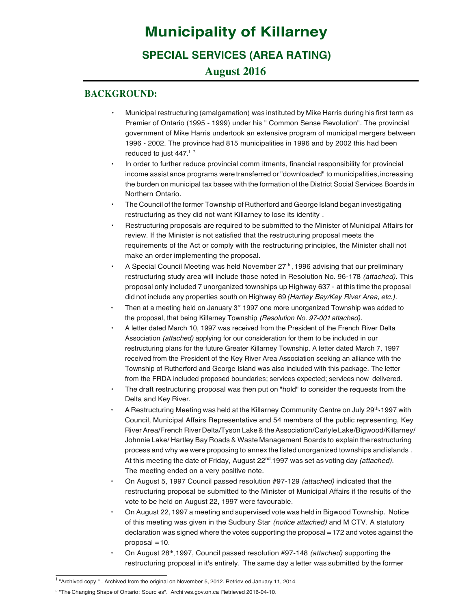# **Municipality of Killarney SPECIAL SERVICES (AREA RATING)**

# **August 2016**

## **BACKGROUND:**

- • Municipal restructuring (amalgamation) was instituted by Mike Harris during his first term as Premier of Ontario (1995 - 1999) under his " Common Sense Revolution". The provincial government of Mike Harris undertook an extensive program of municipal mergers between 1996 - 2002. The province had 815 municipalities in 1996 and by 2002 this had been reduced to just  $447.<sup>1-2</sup>$
- • In order to further reduce provincial comm itments, financial responsibility for provincial income assistance programs were transferred or "downloaded" to municipalities, increasing the burden on municipal tax bases with the formation of the District Social Services Boards in Northern Ontario.
- • restructuring as they did not want Killarney to lose its identity . The Council of the former Township of Rutherford and George Island began investigating
- • review. If the Minister is not satisfied that the restructuring proposal meets the requirements of the Act or comply with the restructuring principles, the Minister shall not make an order implementing the proposal. Restructuring proposals are required to be submitted to the Minister of Municipal Affairs for
- • A Special Council Meeting was held November  $27<sup>th</sup>$ , 1996 advising that our preliminary restructuring study area will include those noted in Resolution No. 96-178 *(attached).* This proposal only included 7 unorganized townships up Highway 637 - at this time the proposal did not include any properties south on Highway 69 *(Hartley Bay/Key River Area, etc.).*
- Then at a meeting held on January  $3<sup>rd</sup>$  1997 one more unorganized Township was added to the proposal, that being Killarney Township *(Resolution No. 97-001 attached).*
- • A letter dated March 10, 1997 was received from the President of the French River Delta Association *(attached)* applying for our consideration for them to be included in our restructuring plans for the future Greater Killarney Township. A letter dated March 7, 1997 received from the President of the Key River Area Association seeking an alliance with the Township of Rutherford and George Island was also included with this package. The letter from the FRDA included proposed boundaries; services expected; services now delivered.
- • Delta and Key River. The draft restructuring proposal was then put on "hold" to consider the requests from the
- • A Restructuring Meeting was held at the Killarney Community Centre on July 29<sup>th</sup> 1997 with Council, Municipal Affairs Representative and 54 members of the public representing, Key River Area/French River Delta/Tyson Lake & the Association/Carlyle Lake/Bigwood/Killarney/ Johnnie Lake/ Hartley Bay Roads & Waste Management Boards to explain the restructuring process and why we were proposing to annex the listed unorganized townships and islands . At this meeting the date of Friday, August 22<sup>nd</sup>,1997 was set as voting day *(attached)*. The meeting ended on a very positive note.
- • On August 5, 1997 Council passed resolution #97-129 *(attached)* indicated that the restructuring proposal be submitted to the Minister of Municipal Affairs if the results of the vote to be held on August 22, 1997 were favourable.
- • of this meeting was given in the Sudbury Star *(notice attached)* and M CTV. A statutory On August 22, 1997 a meeting and supervised vote was held in Bigwood Township. Notice declaration was signed where the votes supporting the proposal = 172 and votes against the  $proposal = 10$ .
- • On August 28<sup>th</sup>, 1997, Council passed resolution #97-148 *(attached)* supporting the restructuring proposal in it's entirely. The same day a letter was submitted by the former

 $1$  "Archived copy " . Archived from the original on November 5, 2012. Retriev ed January 11, 2014.

<sup>2</sup> "The Changing Shape of Ontario: Sourc es". Archi ves.gov.on.ca Retrieved 2016-04-10.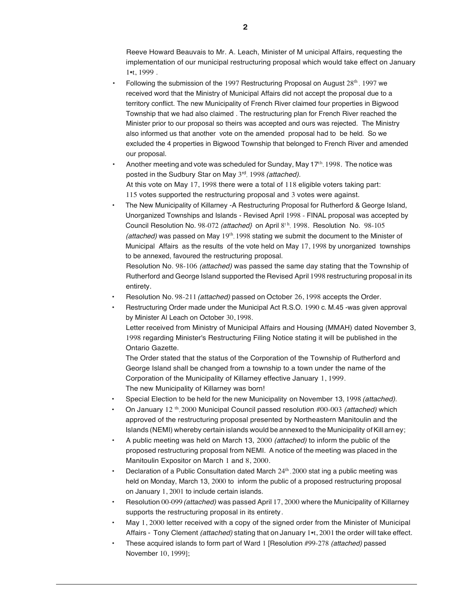Reeve Howard Beauvais to Mr. A. Leach, Minister of M unicipal Affairs, requesting the implementation of our municipal restructuring proposal which would take effect on January 1•t, 1999 .

- • Following the submission of the 1997 Restructuring Proposal on August  $28<sup>th</sup>$ , 1997 we received word that the Ministry of Municipal Affairs did not accept the proposal due to a territory conflict. The new Municipality of French River claimed four properties in Bigwood Township that we had also claimed . The restructuring plan for French River reached the Minister prior to our proposal so theirs was accepted and ours was rejected. The Ministry also informed us that another vote on the amended proposal had to be held. So we excluded the 4 properties in Bigwood Township that belonged to French River and amended our proposal.
- • Another meeting and vote was scheduled for Sunday, May 1 $7<sup>th</sup>$ , 1998. The notice was posted in the Sudbury Star on May 3rd, 1998 *(attached).*  At this vote on May 17, 1998 there were a total of 118 eligible voters taking part: 115 votes supported the restructuring proposal and 3 votes were against.
- • The New Municipality of Killarney -A Restructuring Proposal for Rutherford & George Island, Unorganized Townships and Islands - Revised April 1998 - FINAL proposal was accepted by Council Resolution No. 98-072 (attached} on April 8<sup>th</sup>, 1998. Resolution No. 98-105 *(attached)* was passed on May 19<sup>th</sup>, 1998 stating we submit the document to the Minister of Municipal Affairs as the results of the vote held on May 17, 1998 by unorganized townships to be annexed, favoured the restructuring proposal.

Resolution No. 98-106 *(attached)* was passed the same day stating that the Township of Rutherford and George Island supported the Revised April 1998 restructuring proposal in its entirety.

- • Resolution No. 98-211 *(attached)* passed on October 26, 1998 accepts the Order.
- • Restructuring Order made under the Municipal Act R.S.O. 1990 c. M.45 -was given approval by Minister Al Leach on October 30, 1998.

 Letter received from Ministry of Municipal Affairs and Housing (MMAH) dated November 3, 1998 regarding Minister's Restructuring Filing Notice stating it will be published in the Ontario Gazette.

 The Order stated that the status of the Corporation of the Township of Rutherford and George Island shall be changed from a township to a town under the name of the Corporation of the Municipality of Killarney effective January 1, 1999. The new Municipality of Killarney was born!

- • Special Election to be held for the new Municipality on November 13, 1998 *(attached).*
- • On January 12 th, 2000 Municipal Council passed resolution #00-003 *(attached)* which approved of the restructuring proposal presented by Northeastern Manitoulin and the Islands (NEMI) whereby certain islands would be annexed to the Municipality of Kill arn ey;
- • A public meeting was held on March 13, 2000 *(attached)* to inform the public of the Manitoulin Expositor on March 1 and 8, 2000. proposed restructuring proposal from NEMI. A notice of the meeting was placed in the
- • Declaration of a Public Consultation dated March  $24<sup>th</sup>$ , 2000 stat ing a public meeting was held on Monday, March 13, 2000 to inform the public of a proposed restructuring proposal on January 1, 2001 to include certain islands.
- • supports the restructuring proposal in its entirety. Resolution 00-099 *(attached)* was passed April 17, 2000 where the Municipality of Killarney
- • May 1, 2000 letter received with a copy of the signed order from the Minister of Municipal Affairs - Tony Clement *(attached)* stating that on January 1•t, 2001 the order will take effect.
- • These acquired islands to form part of Ward 1 [Resolution #99-278 *(attached)* passed November 10, 1999];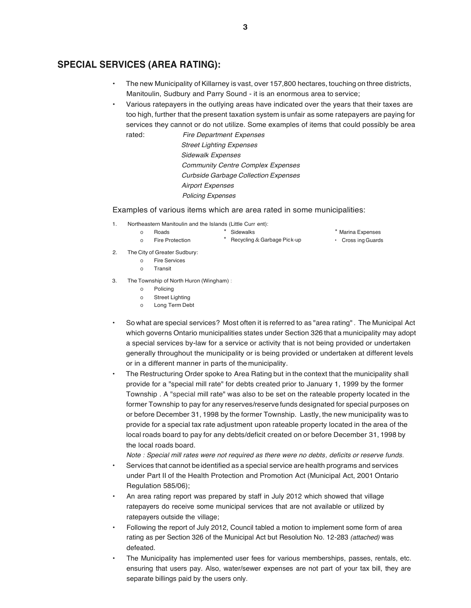## **SPECIAL SERVICES (AREA RATING):**

- • Manitoulin, Sudbury and Parry Sound - it is an enormous area to service; The new Municipality of Killarney is vast, over 157,800 hectares, touching on three districts,
- • Various ratepayers in the outlying areas have indicated over the years that their taxes are services they cannot or do not utilize. Some examples of items that could possibly be area too high, further that the present taxation system is unfair as some ratepayers are paying for rated: *Fire Department Expenses*

 *Street Lighting Expenses Community Centre Complex Expenses Sidewalk Expenses Curbside Garbage Collection Expenses Airport Expenses Policing Expenses* 

#### Examples of various items which are area rated in some municipalities:

1. Northeastern Manitoulin and the Islands (Little Curr ent):

- \* Marina Expenses
- Roads **Expenses** \* Sidewalks **Marina Expenses** \* Marina Expenses Fire Protection **Exercise 1** Recycling & Garbage Pick-up **Cross** ing Guards • Cross ing Guards
- 2. The City of Greater Sudbury:

o Fire Protection

o

- o Fire Services
- o Transit
- 3. The Township of North Huron (Wingham):
	- o Policing
	- o Street Lighting
	- o Long Term Debt
- • a special services by-law for a service or activity that is not being provided or undertaken generally throughout the municipality or is being provided or undertaken at different levels or in a different manner in parts of the municipality. So what are special services? Most often it is referred to as "area rating" . The Municipal Act which governs Ontario municipalities states under Section 326 that a municipality may adopt
- • provide for a "special mill rate" for debts created prior to January 1, 1999 by the former Township . A "special mill rate" was also to be set on the rateable property located in the the local roads board. The Restructuring Order spoke to Area Rating but in the context that the municipality shall former Township to pay for any reserves/reserve funds designated for special purposes on or before December 31, 1998 by the former Township. Lastly, the new municipality was to provide for a special tax rate adjustment upon rateable property located in the area of the local roads board to pay for any debts/deficit created on or before December 31, 1998 by

 *Note : Special mill rates were not required as there were no debts, deficits or reserve funds.* 

- • Services that cannot be identified as a special service are health programs and services under Part II of the Health Protection and Promotion Act (Municipal Act, 2001 Ontario Regulation 585/06);
- • An area rating report was prepared by staff in July 2012 which showed that village ratepayers do receive some municipal services that are not available or utilized by ratepayers outside the village;
- • Following the report of July 2012, Council tabled a motion to implement some form of area rating as per Section 326 of the Municipal Act but Resolution No. 12-283 *(attached)* was defeated.
- • The Municipality has implemented user fees for various memberships, passes, rentals, etc. ensuring that users pay. Also, water/sewer expenses are not part of your tax bill, they are separate billings paid by the users only.